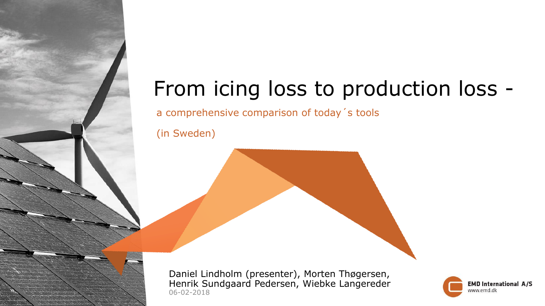# From icing loss to production loss -

a comprehensive comparison of today´s tools

(in Sweden)

06-02-2018 Daniel Lindholm (presenter), Morten Thøgersen, Henrik Sundgaard Pedersen, Wiebke Langereder

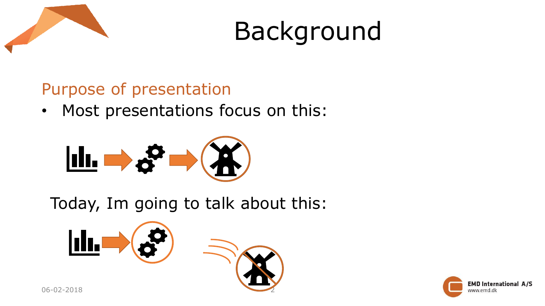



#### Purpose of presentation

• Most presentations focus on this:



Today, Im going to talk about this:



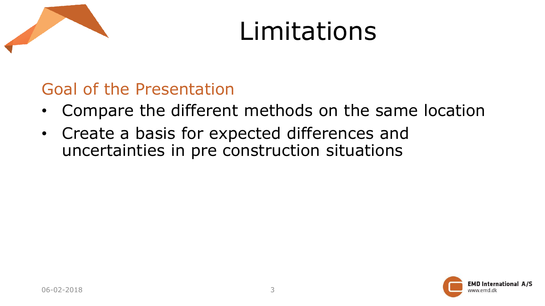# Limitations

### Goal of the Presentation

- Compare the different methods on the same location
- Create a basis for expected differences and uncertainties in pre construction situations

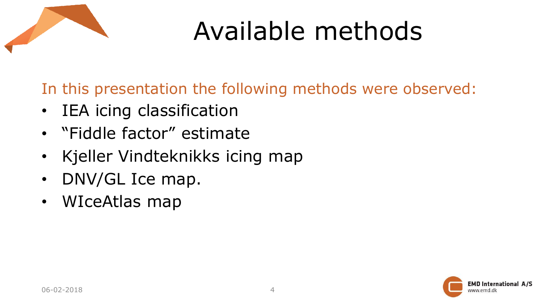

# Available methods

In this presentation the following methods were observed:

- IEA icing classification
- "Fiddle factor" estimate
- Kjeller Vindteknikks icing map
- DNV/GL Ice map.
- WIceAtlas map

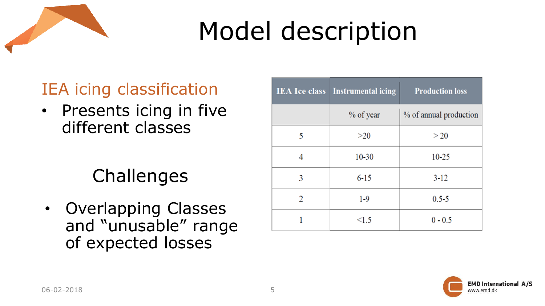

# IEA icing classification

• Presents icing in five different classes

# **Challenges**

• Overlapping Classes and "unusable" range of expected losses

|                | <b>IEA Ice class</b> Instrumental icing | <b>Production loss</b> |
|----------------|-----------------------------------------|------------------------|
|                | % of year                               | % of annual production |
| 5              | >20                                     | >20                    |
| 4              | $10 - 30$                               | $10 - 25$              |
| 3              | $6 - 15$                                | $3 - 12$               |
| $\overline{2}$ | $1 - 9$                                 | $0.5 - 5$              |
|                | < 1.5                                   | $0 - 0.5$              |

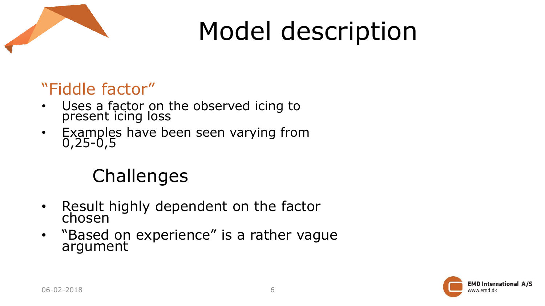

### "Fiddle factor"

- Uses a factor on the observed icing to present icing loss
- Examples have been seen varying from 0,25-0,5

# **Challenges**

- Result highly dependent on the factor chosen
- "Based on experience" is a rather vague argument

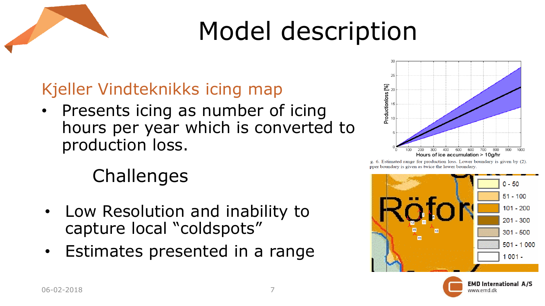

### Kjeller Vindteknikks icing map

• Presents icing as number of icing hours per year which is converted to production loss.

# Challenges

- Low Resolution and inability to capture local "coldspots"
- Estimates presented in a range



g. 6. Estimated range for production loss. Lower boundary is given by (2). pper boundary is given as twice the lower boundary.





**EMD International A/S** www.emd.dk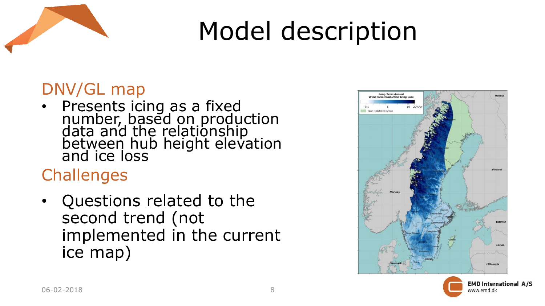

#### DNV/GL map

• Presents icing as a fixed number, based on production data and the relationship between hub height elevation and ice loss

# **Challenges**

• Questions related to the second trend (not implemented in the current ice map)



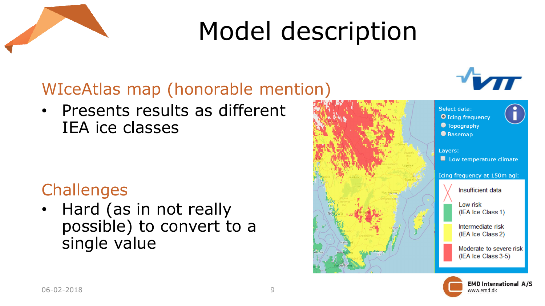

# WIceAtlas map (honorable mention)

• Presents results as different IEA ice classes

#### **Challenges**

• Hard (as in not really possible) to convert to a single value



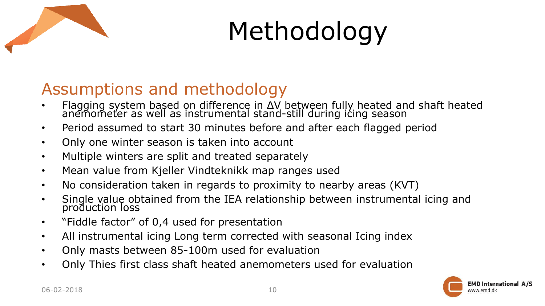

# Methodology

#### Assumptions and methodology

- Flagging system based on difference in ΔV between fully heated and shaft heated anemometer as well as instrumental stand-still during icing season
- Period assumed to start 30 minutes before and after each flagged period
- Only one winter season is taken into account
- Multiple winters are split and treated separately
- Mean value from Kjeller Vindteknikk map ranges used
- No consideration taken in regards to proximity to nearby areas (KVT)
- Single value obtained from the IEA relationship between instrumental icing and production loss
- "Fiddle factor" of 0,4 used for presentation
- All instrumental icing Long term corrected with seasonal Icing index
- Only masts between 85-100m used for evaluation
- Only Thies first class shaft heated anemometers used for evaluation

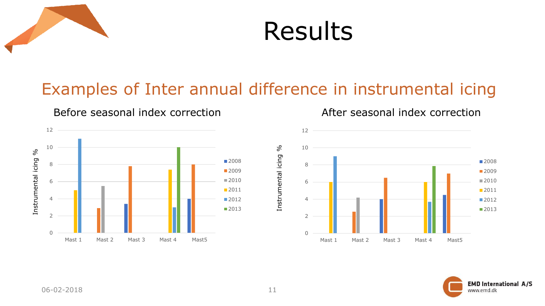



#### Examples of Inter annual difference in instrumental icing



Before seasonal index correction Theorem After seasonal index correction



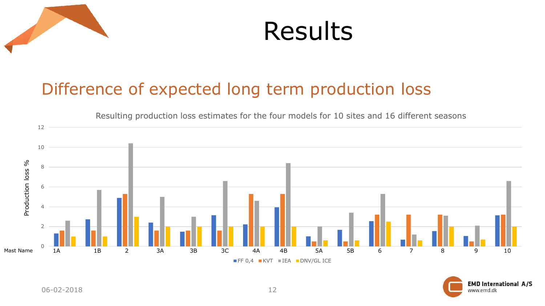



#### Difference of expected long term production loss



**EMD International A/S** www.emd.dk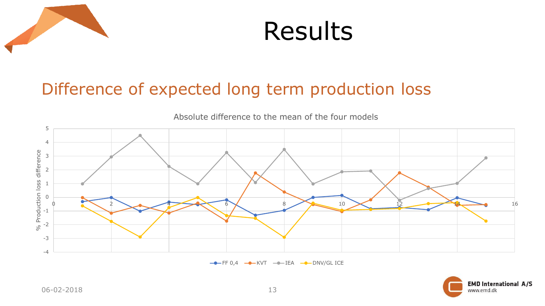



#### Difference of expected long term production loss



Absolute difference to the mean of the four models

 $\leftarrow$  FF 0,4  $\leftarrow$  KVT  $\leftarrow$  IEA  $\leftarrow$  DNV/GL ICE

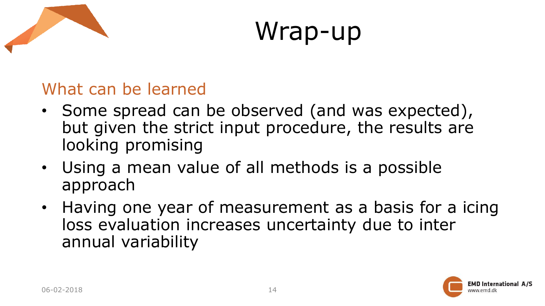



#### What can be learned

- Some spread can be observed (and was expected), but given the strict input procedure, the results are looking promising
- Using a mean value of all methods is a possible approach
- Having one year of measurement as a basis for a icing loss evaluation increases uncertainty due to inter annual variability